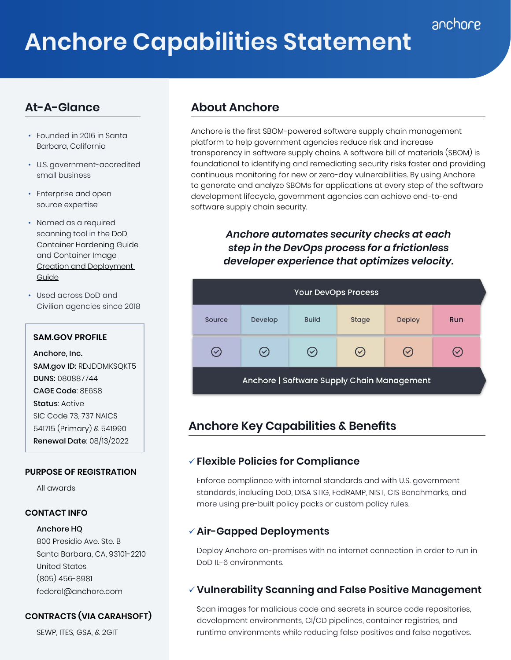# **Anchore Capabilities Statement**

# **At-A-Glance**

- Founded in 2016 in Santa Barbara, California
- U.S. government-accredited small business
- Enterprise and open source expertise
- Named as a required scanning tool in the [DoD](https://dl.dod.cyber.mil/wp-content/uploads/devsecops/pdf/Final_DevSecOps_Enterprise_Container_Hardening_Guide_1.1.pdf)  [Container Hardening Guide](https://dl.dod.cyber.mil/wp-content/uploads/devsecops/pdf/Final_DevSecOps_Enterprise_Container_Hardening_Guide_1.1.pdf) and [Container Image](https://dl.dod.cyber.mil/wp-content/uploads/devsecops/pdf/DevSecOps_Enterprise_Container_Image_Creation_and_Deployment_Guide_2.6-Public-Release.pdf)  [Creation and Deployment](https://dl.dod.cyber.mil/wp-content/uploads/devsecops/pdf/DevSecOps_Enterprise_Container_Image_Creation_and_Deployment_Guide_2.6-Public-Release.pdf)  [Guide](https://dl.dod.cyber.mil/wp-content/uploads/devsecops/pdf/DevSecOps_Enterprise_Container_Image_Creation_and_Deployment_Guide_2.6-Public-Release.pdf)
- Used across DoD and Civilian agencies since 2018

#### **SAM.GOV PROFILE**

Anchore, Inc. SAM.gov ID: RDJDDMKSQKT5 DUNS: 080887744 CAGE Code: 8E6S8 Status: Active SIC Code 73, 737 NAICS 541715 (Primary) & 541990 Renewal Date: 08/13/2022

#### **PURPOSE OF REGISTRATION**

All awards

#### **CONTACT INFO**

#### Anchore HQ

800 Presidio Ave. Ste. B Santa Barbara, CA, 93101-2210 United States (805) 456-8981 federal@anchore.com

#### **CONTRACTS (VIA CARAHSOFT)**

SEWP, ITES, GSA, & 2GIT

# **About Anchore**

Anchore is the first SBOM-powered software supply chain management platform to help government agencies reduce risk and increase transparency in software supply chains. A software bill of materials (SBOM) is foundational to identifying and remediating security risks faster and providing continuous monitoring for new or zero-day vulnerabilities. By using Anchore to generate and analyze SBOMs for applications at every step of the software development lifecycle, government agencies can achieve end-to-end software supply chain security.

> *Anchore automates security checks at each step in the DevOps process for a frictionless developer experience that optimizes velocity.*



# **Anchore Key Capabilities & Benefits**

#### 9 **Flexible Policies for Compliance**

Enforce compliance with internal standards and with U.S. government standards, including DoD, DISA STIG, FedRAMP, NIST, CIS Benchmarks, and more using pre-built policy packs or custom policy rules.

# 9 **Air-Gapped Deployments**

Deploy Anchore on-premises with no internet connection in order to run in DoD IL-6 environments.

### 9 **Vulnerability Scanning and False Positive Management**

Scan images for malicious code and secrets in source code repositories, development environments, CI/CD pipelines, container registries, and runtime environments while reducing false positives and false negatives.